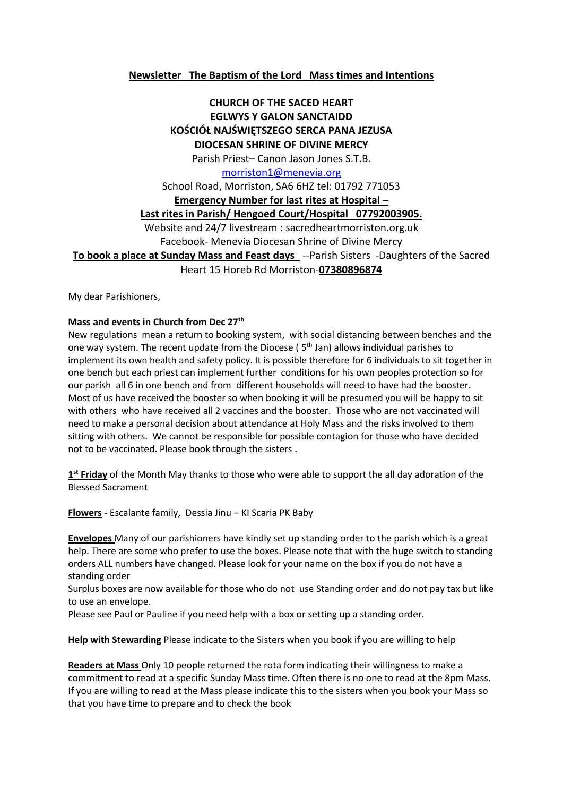## **Newsletter The Baptism of the Lord Mass times and Intentions**

## **CHURCH OF THE SACED HEART EGLWYS Y GALON SANCTAIDD KOŚCIÓŁ NAJŚWIĘTSZEGO SERCA PANA JEZUSA DIOCESAN SHRINE OF DIVINE MERCY**

Parish Priest– Canon Jason Jones S.T.B.

### [morriston1@menevia.org](mailto:morriston1@menevia.org)

School Road, Morriston, SA6 6HZ tel: 01792 771053 **Emergency Number for last rites at Hospital – Last rites in Parish/ Hengoed Court/Hospital 07792003905.**  Website and 24/7 livestream : sacredheartmorriston.org.uk Facebook- Menevia Diocesan Shrine of Divine Mercy **To book a place at Sunday Mass and Feast days** --Parish Sisters -Daughters of the Sacred Heart 15 Horeb Rd Morriston-**07380896874**

My dear Parishioners,

#### **Mass and events in Church from Dec 27th**

New regulations mean a return to booking system, with social distancing between benches and the one way system. The recent update from the Diocese ( $5<sup>th</sup>$  Jan) allows individual parishes to implement its own health and safety policy. It is possible therefore for 6 individuals to sit together in one bench but each priest can implement further conditions for his own peoples protection so for our parish all 6 in one bench and from different households will need to have had the booster. Most of us have received the booster so when booking it will be presumed you will be happy to sit with others who have received all 2 vaccines and the booster. Those who are not vaccinated will need to make a personal decision about attendance at Holy Mass and the risks involved to them sitting with others. We cannot be responsible for possible contagion for those who have decided not to be vaccinated. Please book through the sisters .

**1 st Friday** of the Month May thanks to those who were able to support the all day adoration of the Blessed Sacrament

**Flowers** - Escalante family, Dessia Jinu – KI Scaria PK Baby

**Envelopes** Many of our parishioners have kindly set up standing order to the parish which is a great help. There are some who prefer to use the boxes. Please note that with the huge switch to standing orders ALL numbers have changed. Please look for your name on the box if you do not have a standing order

Surplus boxes are now available for those who do not use Standing order and do not pay tax but like to use an envelope.

Please see Paul or Pauline if you need help with a box or setting up a standing order.

**Help with Stewarding** Please indicate to the Sisters when you book if you are willing to help

**Readers at Mass** Only 10 people returned the rota form indicating their willingness to make a commitment to read at a specific Sunday Mass time. Often there is no one to read at the 8pm Mass. If you are willing to read at the Mass please indicate this to the sisters when you book your Mass so that you have time to prepare and to check the book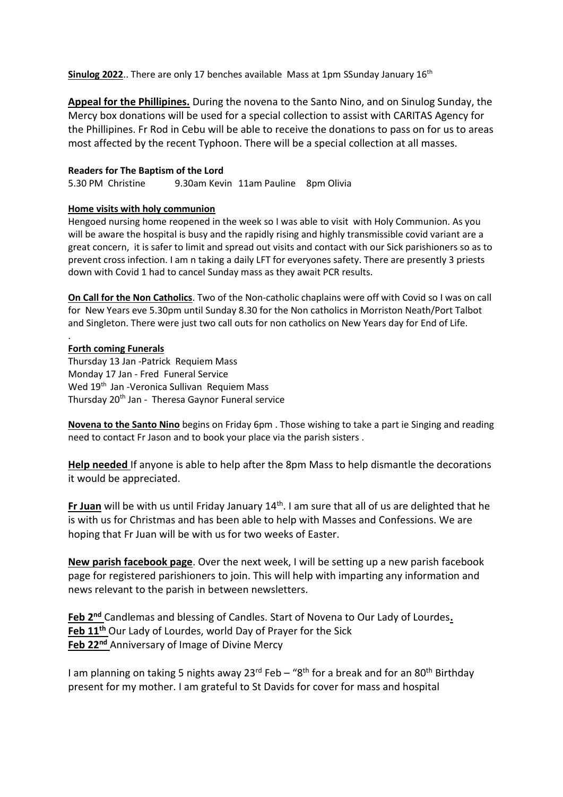**Sinulog 2022.**. There are only 17 benches available Mass at 1pm SSunday January 16<sup>th</sup>

**Appeal for the Phillipines.** During the novena to the Santo Nino, and on Sinulog Sunday, the Mercy box donations will be used for a special collection to assist with CARITAS Agency for the Phillipines. Fr Rod in Cebu will be able to receive the donations to pass on for us to areas most affected by the recent Typhoon. There will be a special collection at all masses.

#### **Readers for The Baptism of the Lord**

5.30 PM Christine 9.30am Kevin 11am Pauline 8pm Olivia

### **Home visits with holy communion**

Hengoed nursing home reopened in the week so I was able to visit with Holy Communion. As you will be aware the hospital is busy and the rapidly rising and highly transmissible covid variant are a great concern, it is safer to limit and spread out visits and contact with our Sick parishioners so as to prevent cross infection. I am n taking a daily LFT for everyones safety. There are presently 3 priests down with Covid 1 had to cancel Sunday mass as they await PCR results.

**On Call for the Non Catholics**. Two of the Non-catholic chaplains were off with Covid so I was on call for New Years eve 5.30pm until Sunday 8.30 for the Non catholics in Morriston Neath/Port Talbot and Singleton. There were just two call outs for non catholics on New Years day for End of Life.

### **Forth coming Funerals**

.

Thursday 13 Jan -Patrick Requiem Mass Monday 17 Jan - Fred Funeral Service Wed 19<sup>th</sup> Jan -Veronica Sullivan Requiem Mass Thursday 20<sup>th</sup> Jan - Theresa Gaynor Funeral service

**Novena to the Santo Nino** begins on Friday 6pm . Those wishing to take a part ie Singing and reading need to contact Fr Jason and to book your place via the parish sisters .

**Help needed** If anyone is able to help after the 8pm Mass to help dismantle the decorations it would be appreciated.

**Fr Juan** will be with us until Friday January 14<sup>th</sup>. I am sure that all of us are delighted that he is with us for Christmas and has been able to help with Masses and Confessions. We are hoping that Fr Juan will be with us for two weeks of Easter.

**New parish facebook page**. Over the next week, I will be setting up a new parish facebook page for registered parishioners to join. This will help with imparting any information and news relevant to the parish in between newsletters.

**Feb 2nd** Candlemas and blessing of Candles. Start of Novena to Our Lady of Lourdes**. Feb 11th** Our Lady of Lourdes, world Day of Prayer for the Sick **Feb 22nd** Anniversary of Image of Divine Mercy

I am planning on taking 5 nights away  $23^{rd}$  Feb – "8<sup>th</sup> for a break and for an 80<sup>th</sup> Birthday present for my mother. I am grateful to St Davids for cover for mass and hospital